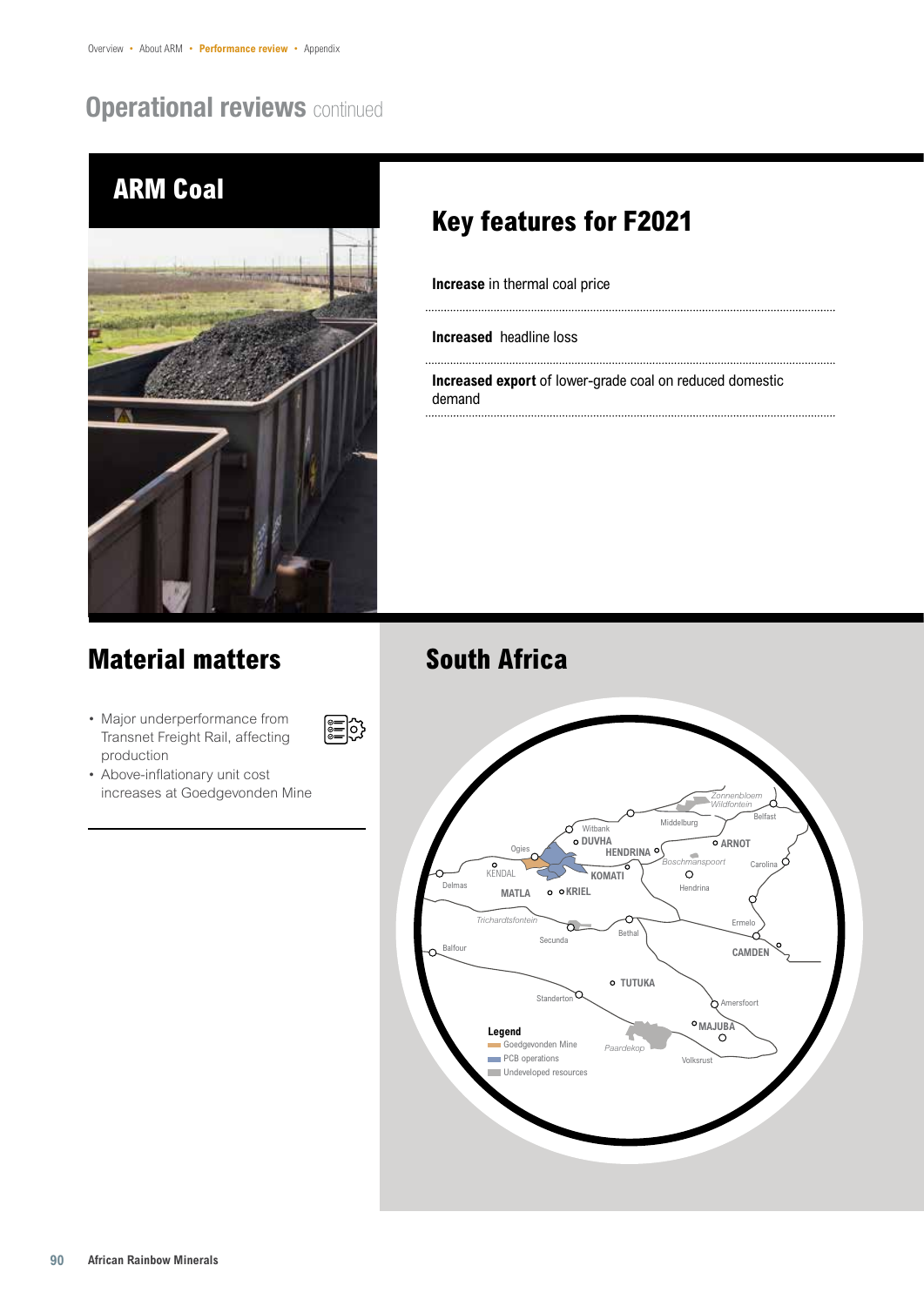# **Operational reviews continued**



### **Material matters**

• Major underperformance from Transnet Freight Rail, affecting production

⊫ြို့≎

• Above-inflationary unit cost increases at Goedgevonden Mine

## **Key features for F2021**

**Increase** in thermal coal price

**Increased** headline loss

...................

**Increased export** of lower-grade coal on reduced domestic demand

## **South Africa**

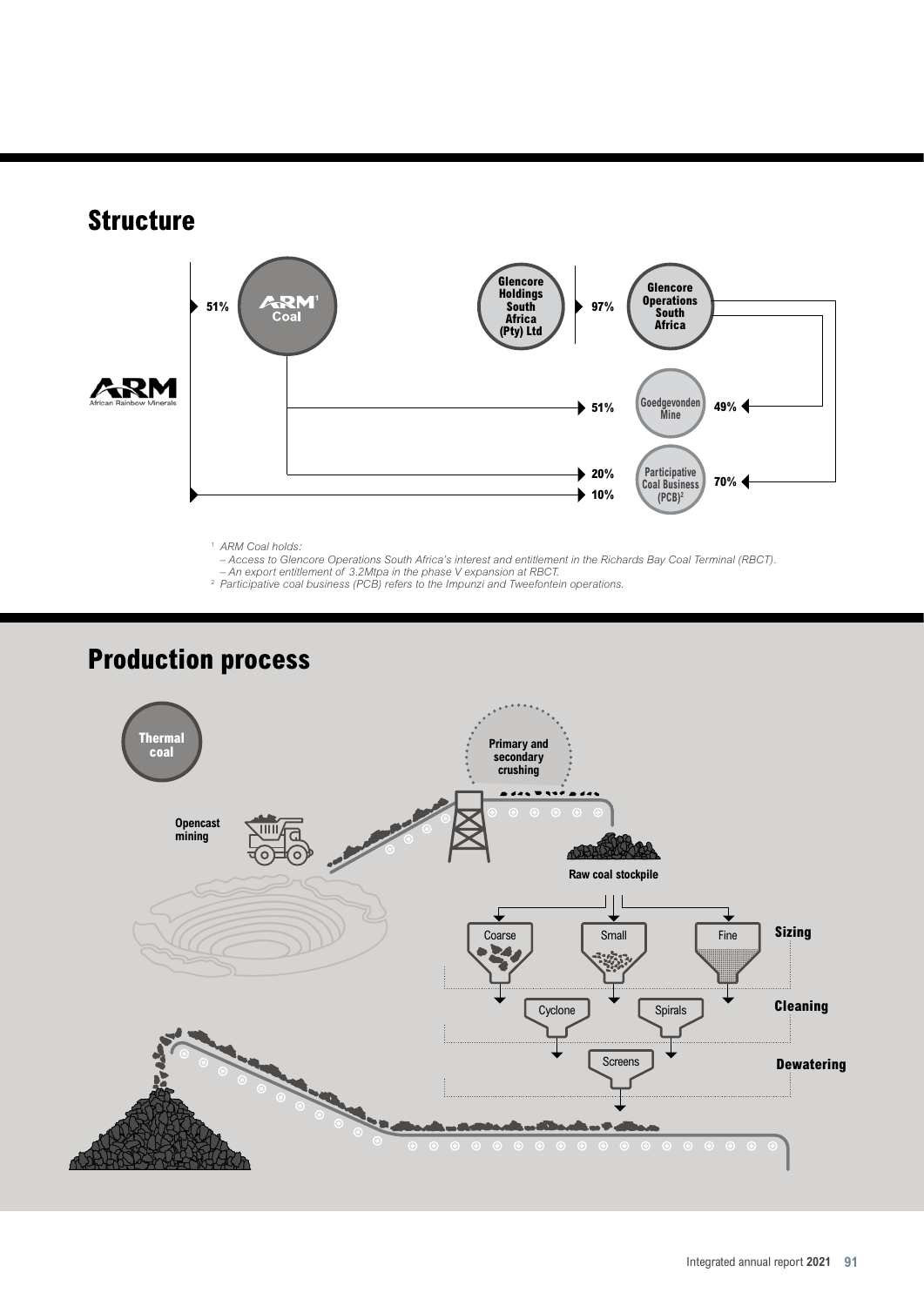

<sup>1</sup> *ARM Coal holds:*

*– Access to Glencore Operations South Africa's interest and entitlement in the Richards Bay Coal Terminal (RBCT).*

*– An export entitlement of 3.2Mtpa in the phase V expansion at RBCT.* <sup>2</sup> *Participative coal business (PCB) refers to the Impunzi and Tweefontein operations.*



## **Production process**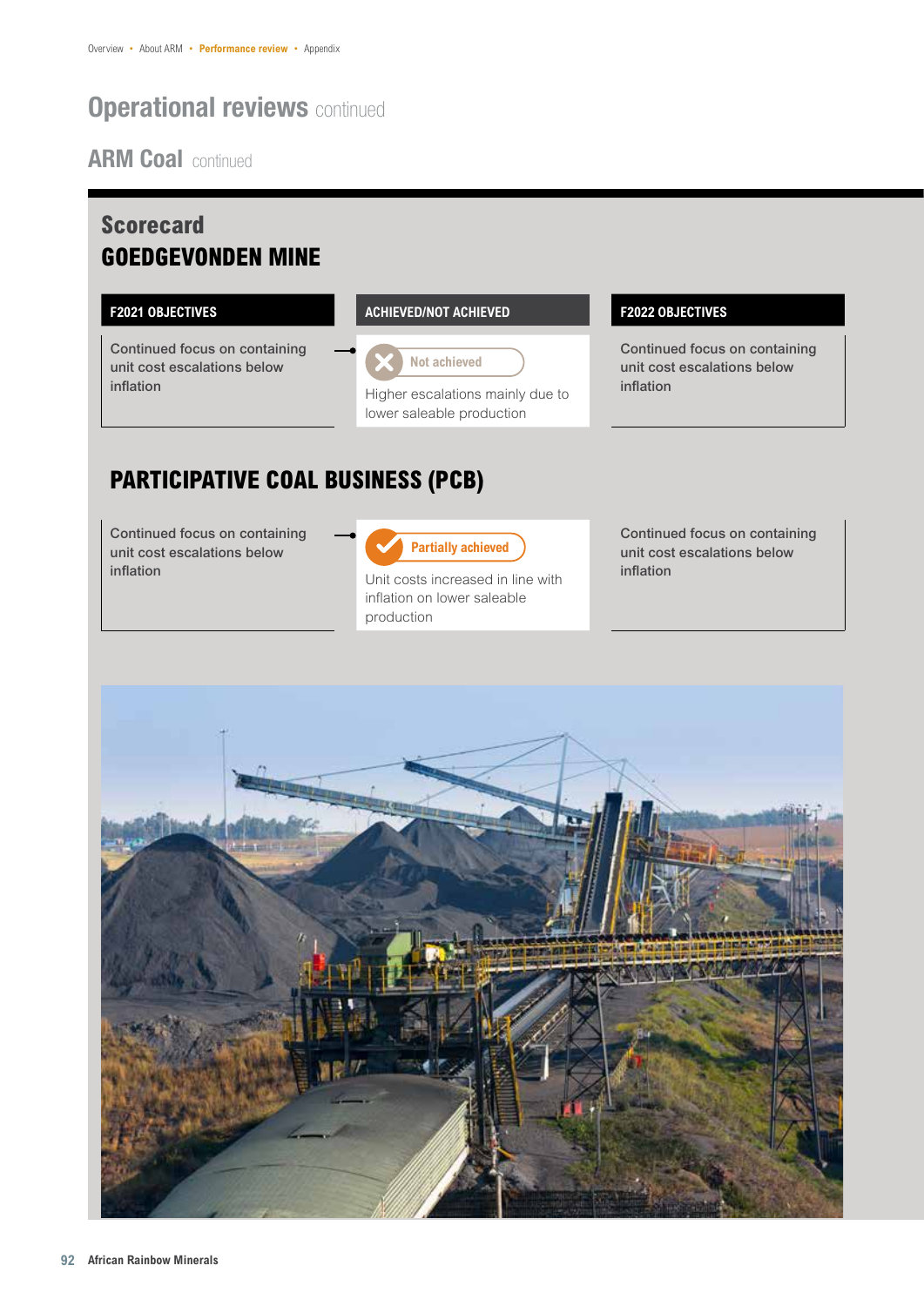## **Operational reviews continued**

#### **ARM Coal continued**

#### **Scorecard GOEDGEVONDEN MINE**

Continued focus on containing unit cost escalations below inflation



**Not achieved** Higher escalations mainly due to lower saleable production

Continued focus on containing unit cost escalations below inflation

#### **PARTICIPATIVE COAL BUSINESS (PCB)**

Continued focus on containing unit cost escalations below inflation



Unit costs increased in line with inflation on lower saleable production

Continued focus on containing unit cost escalations below inflation

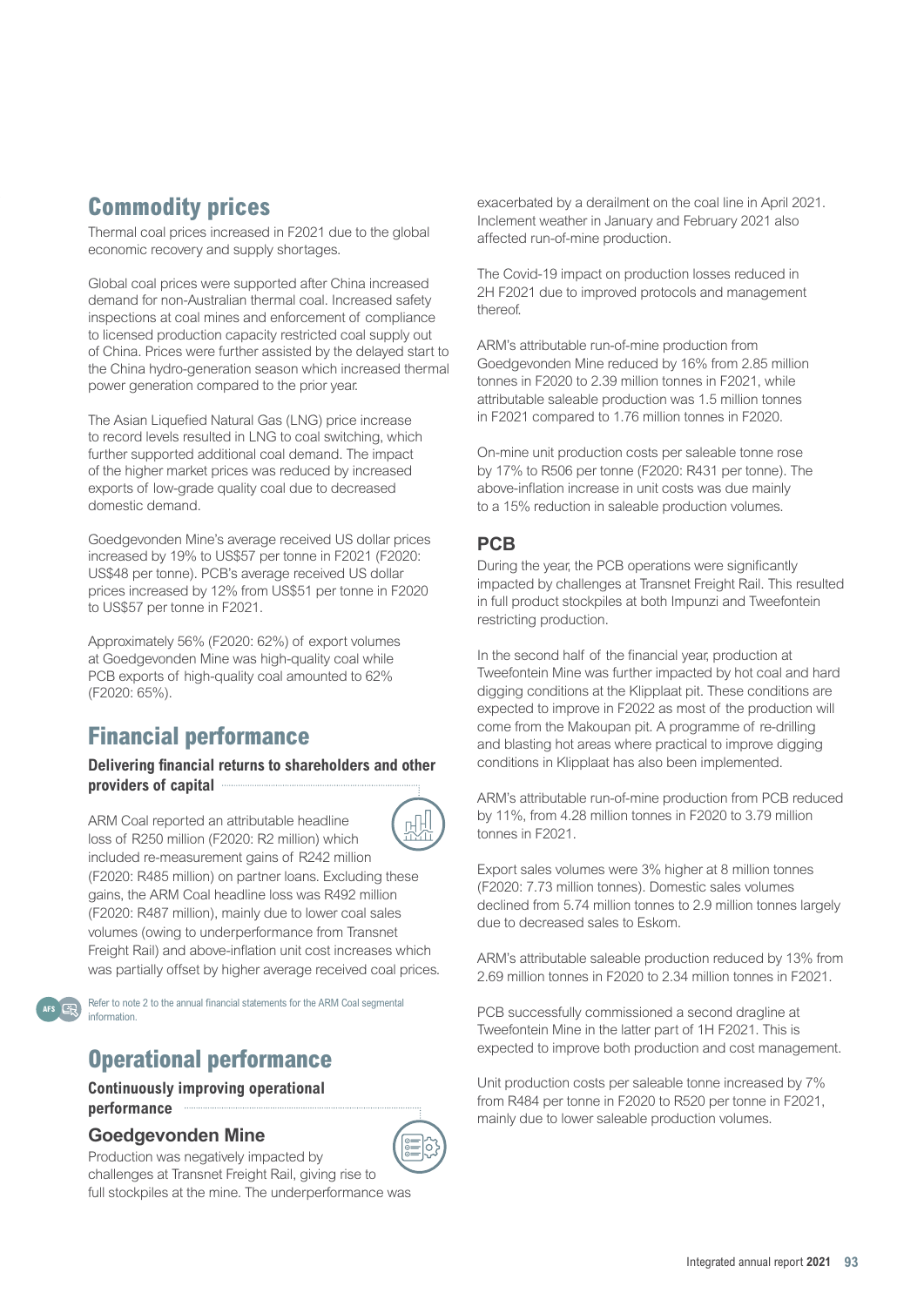#### **Commodity prices**

Thermal coal prices increased in F2021 due to the global economic recovery and supply shortages.

Global coal prices were supported after China increased demand for non-Australian thermal coal. Increased safety inspections at coal mines and enforcement of compliance to licensed production capacity restricted coal supply out of China. Prices were further assisted by the delayed start to the China hydro-generation season which increased thermal power generation compared to the prior year.

The Asian Liquefied Natural Gas (LNG) price increase to record levels resulted in LNG to coal switching, which further supported additional coal demand. The impact of the higher market prices was reduced by increased exports of low-grade quality coal due to decreased domestic demand.

Goedgevonden Mine's average received US dollar prices increased by 19% to US\$57 per tonne in F2021 (F2020: US\$48 per tonne). PCB's average received US dollar prices increased by 12% from US\$51 per tonne in F2020 to US\$57 per tonne in F2021.

Approximately 56% (F2020: 62%) of export volumes at Goedgevonden Mine was high-quality coal while PCB exports of high-quality coal amounted to 62% (F2020: 65%).

#### **Financial performance**

**Delivering financial returns to shareholders and other providers of capital**

ARM Coal reported an attributable headline loss of R250 million (F2020: R2 million) which included re-measurement gains of R242 million (F2020: R485 million) on partner loans. Excluding these gains, the ARM Coal headline loss was R492 million (F2020: R487 million), mainly due to lower coal sales volumes (owing to underperformance from Transnet Freight Rail) and above-inflation unit cost increases which was partially offset by higher average received coal prices.

Refer to note 2 to the annual financial statements for the ARM Coal segmental information.

#### **Operational performance**

**Continuously improving operational performance**

#### **Goedgevonden Mine**

**AFS**



Production was negatively impacted by challenges at Transnet Freight Rail, giving rise to full stockpiles at the mine. The underperformance was exacerbated by a derailment on the coal line in April 2021. Inclement weather in January and February 2021 also affected run-of-mine production.

The Covid-19 impact on production losses reduced in 2H F2021 due to improved protocols and management thereof.

ARM's attributable run-of-mine production from Goedgevonden Mine reduced by 16% from 2.85 million tonnes in F2020 to 2.39 million tonnes in F2021, while attributable saleable production was 1.5 million tonnes in F2021 compared to 1.76 million tonnes in F2020.

On-mine unit production costs per saleable tonne rose by 17% to R506 per tonne (F2020: R431 per tonne). The above-inflation increase in unit costs was due mainly to a 15% reduction in saleable production volumes.

#### **PCB**

During the year, the PCB operations were significantly impacted by challenges at Transnet Freight Rail. This resulted in full product stockpiles at both Impunzi and Tweefontein restricting production.

In the second half of the financial year, production at Tweefontein Mine was further impacted by hot coal and hard digging conditions at the Klipplaat pit. These conditions are expected to improve in F2022 as most of the production will come from the Makoupan pit. A programme of re-drilling and blasting hot areas where practical to improve digging conditions in Klipplaat has also been implemented.

ARM's attributable run-of-mine production from PCB reduced by 11%, from 4.28 million tonnes in F2020 to 3.79 million tonnes in F2021.

Export sales volumes were 3% higher at 8 million tonnes (F2020: 7.73 million tonnes). Domestic sales volumes declined from 5.74 million tonnes to 2.9 million tonnes largely due to decreased sales to Eskom.

ARM's attributable saleable production reduced by 13% from 2.69 million tonnes in F2020 to 2.34 million tonnes in F2021.

PCB successfully commissioned a second dragline at Tweefontein Mine in the latter part of 1H F2021. This is expected to improve both production and cost management.

Unit production costs per saleable tonne increased by 7% from R484 per tonne in F2020 to R520 per tonne in F2021, mainly due to lower saleable production volumes.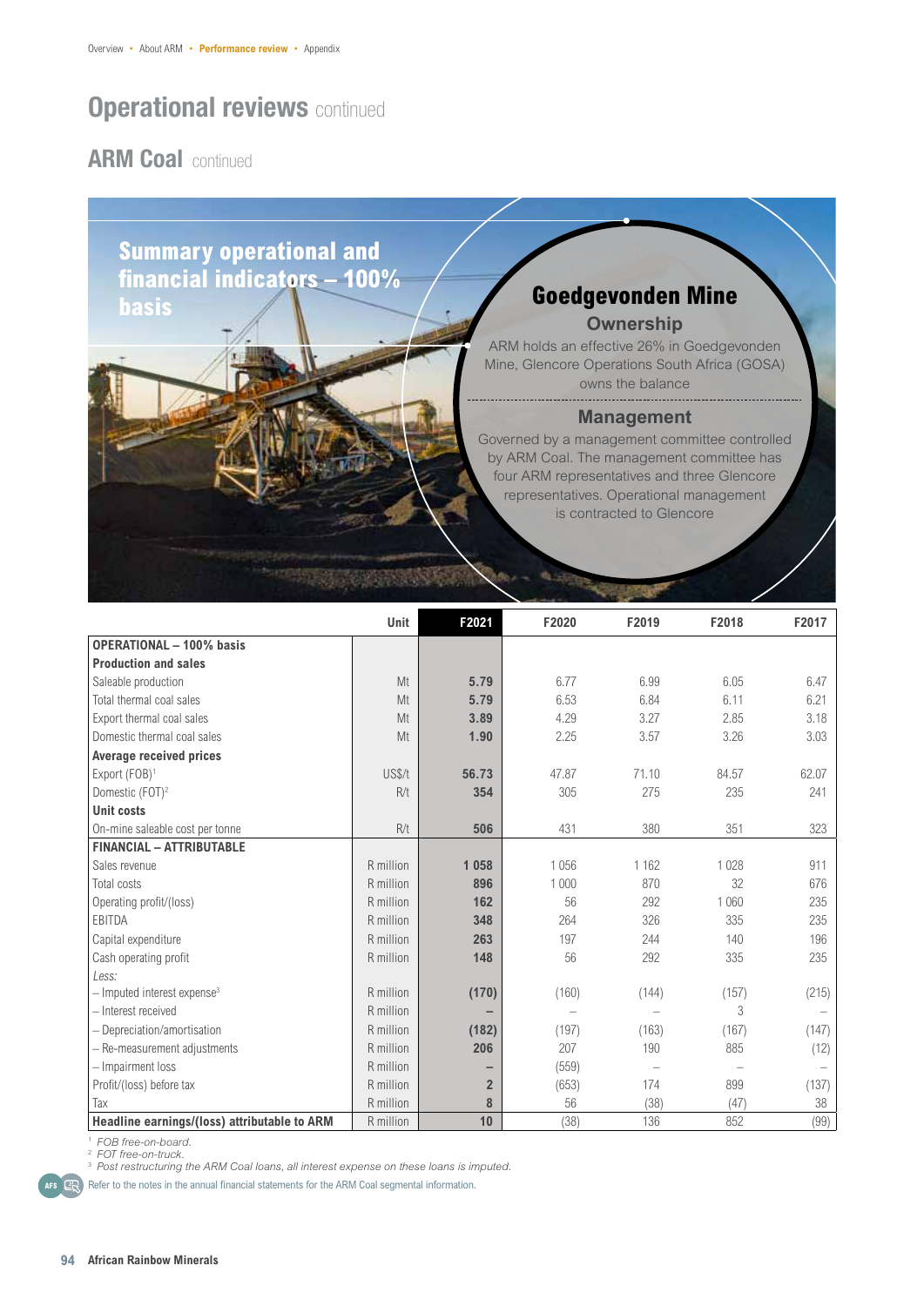### **Operational reviews continued**

#### **ARM Coal continued**

**Summary operational and financial indicators – 100% basis Contract of the Contract of the Coedgevonden Mine** 

#### **Ownership**

ARM holds an effective 26% in Goedgevonden Mine, Glencore Operations South Africa (GOSA) owns the balance 

#### **Management**

Governed by a management committee controlled by ARM Coal. The management committee has four ARM representatives and three Glencore representatives. Operational management is contracted to Glencore

|                                              | Unit      | F2021          | F2020   | F2019                    | F2018   | F2017 |
|----------------------------------------------|-----------|----------------|---------|--------------------------|---------|-------|
| <b>OPERATIONAL - 100% basis</b>              |           |                |         |                          |         |       |
| <b>Production and sales</b>                  |           |                |         |                          |         |       |
| Saleable production                          | Mt        | 5.79           | 6.77    | 6.99                     | 6.05    | 6.47  |
| Total thermal coal sales                     | Mt        | 5.79           | 6.53    | 6.84                     | 6.11    | 6.21  |
| Export thermal coal sales                    | Mt        | 3.89           | 4.29    | 3.27                     | 2.85    | 3.18  |
| Domestic thermal coal sales                  | Mt        | 1.90           | 2.25    | 3.57                     | 3.26    | 3.03  |
| <b>Average received prices</b>               |           |                |         |                          |         |       |
| Export (FOB) <sup>1</sup>                    | US\$/t    | 56.73          | 47.87   | 71.10                    | 84.57   | 62.07 |
| Domestic (FOT) <sup>2</sup>                  | R/t       | 354            | 305     | 275                      | 235     | 241   |
| <b>Unit costs</b>                            |           |                |         |                          |         |       |
| On-mine saleable cost per tonne              | R/t       | 506            | 431     | 380                      | 351     | 323   |
| <b>FINANCIAL - ATTRIBUTABLE</b>              |           |                |         |                          |         |       |
| Sales revenue                                | R million | 1 0 5 8        | 1 0 5 6 | 1 1 6 2                  | 1 0 2 8 | 911   |
| Total costs                                  | R million | 896            | 1 0 0 0 | 870                      | 32      | 676   |
| Operating profit/(loss)                      | R million | 162            | 56      | 292                      | 1 0 6 0 | 235   |
| EBITDA                                       | R million | 348            | 264     | 326                      | 335     | 235   |
| Capital expenditure                          | R million | 263            | 197     | 244                      | 140     | 196   |
| Cash operating profit                        | R million | 148            | 56      | 292                      | 335     | 235   |
| Less:                                        |           |                |         |                          |         |       |
| $-$ Imputed interest expense <sup>3</sup>    | R million | (170)          | (160)   | (144)                    | (157)   | (215) |
| - Interest received                          | R million |                |         |                          | 3       |       |
| - Depreciation/amortisation                  | R million | (182)          | (197)   | (163)                    | (167)   | (147) |
| - Re-measurement adjustments                 | R million | 206            | 207     | 190                      | 885     | (12)  |
| - Impairment loss                            | R million |                | (559)   | $\overline{\phantom{0}}$ |         |       |
| Profit/(loss) before tax                     | R million | $\overline{2}$ | (653)   | 174                      | 899     | (137) |
| Tax                                          | R million | 8              | 56      | (38)                     | (47)    | 38    |
| Headline earnings/(loss) attributable to ARM | R million | 10             | (38)    | 136                      | 852     | (99)  |

<sup>1</sup> *FOB free-on-board.* <sup>2</sup> *FOT free-on-truck.*

<sup>3</sup> *Post restructuring the ARM Coal loans, all interest expense on these loans is imputed.*

**AFS** Refer to the notes in the annual financial statements for the ARM Coal segmental information.